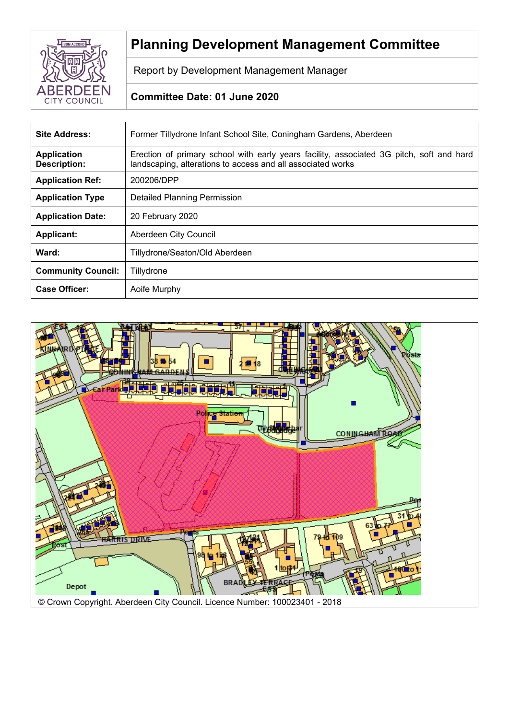

# **Planning Development Management Committee**

Report by Development Management Manager

# **Committee Date: 01 June 2020**

| <b>Site Address:</b>               | Former Tillydrone Infant School Site, Coningham Gardens, Aberdeen                                                                                       |
|------------------------------------|---------------------------------------------------------------------------------------------------------------------------------------------------------|
| <b>Application</b><br>Description: | Erection of primary school with early years facility, associated 3G pitch, soft and hard<br>landscaping, alterations to access and all associated works |
| <b>Application Ref:</b>            | 200206/DPP                                                                                                                                              |
| <b>Application Type</b>            | Detailed Planning Permission                                                                                                                            |
| <b>Application Date:</b>           | 20 February 2020                                                                                                                                        |
| <b>Applicant:</b>                  | Aberdeen City Council                                                                                                                                   |
| Ward:                              | Tillydrone/Seaton/Old Aberdeen                                                                                                                          |
| <b>Community Council:</b>          | Tillydrone                                                                                                                                              |
| Case Officer:                      | Aoife Murphy                                                                                                                                            |

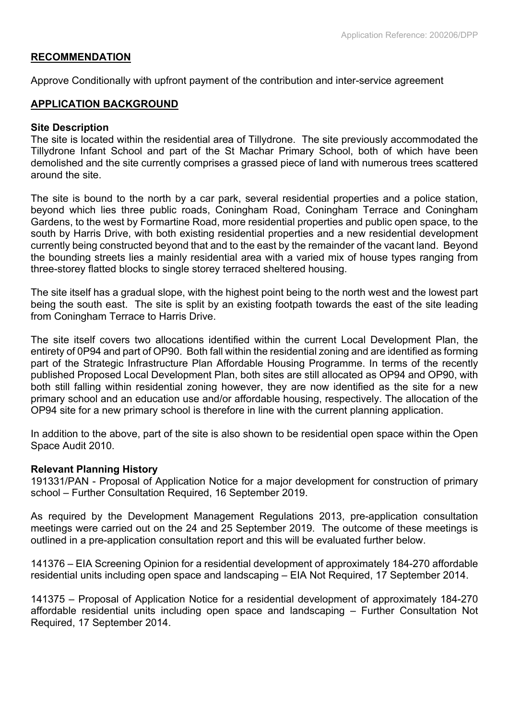#### **RECOMMENDATION**

Approve Conditionally with upfront payment of the contribution and inter-service agreement

#### **APPLICATION BACKGROUND**

#### **Site Description**

The site is located within the residential area of Tillydrone. The site previously accommodated the Tillydrone Infant School and part of the St Machar Primary School, both of which have been demolished and the site currently comprises a grassed piece of land with numerous trees scattered around the site.

The site is bound to the north by a car park, several residential properties and a police station, beyond which lies three public roads, Coningham Road, Coningham Terrace and Coningham Gardens, to the west by Formartine Road, more residential properties and public open space, to the south by Harris Drive, with both existing residential properties and a new residential development currently being constructed beyond that and to the east by the remainder of the vacant land. Beyond the bounding streets lies a mainly residential area with a varied mix of house types ranging from three-storey flatted blocks to single storey terraced sheltered housing.

The site itself has a gradual slope, with the highest point being to the north west and the lowest part being the south east. The site is split by an existing footpath towards the east of the site leading from Coningham Terrace to Harris Drive.

The site itself covers two allocations identified within the current Local Development Plan, the entirety of 0P94 and part of OP90. Both fall within the residential zoning and are identified as forming part of the Strategic Infrastructure Plan Affordable Housing Programme. In terms of the recently published Proposed Local Development Plan, both sites are still allocated as OP94 and OP90, with both still falling within residential zoning however, they are now identified as the site for a new primary school and an education use and/or affordable housing, respectively. The allocation of the OP94 site for a new primary school is therefore in line with the current planning application.

In addition to the above, part of the site is also shown to be residential open space within the Open Space Audit 2010.

#### **Relevant Planning History**

191331/PAN - Proposal of Application Notice for a major development for construction of primary school – Further Consultation Required, 16 September 2019.

As required by the Development Management Regulations 2013, pre-application consultation meetings were carried out on the 24 and 25 September 2019. The outcome of these meetings is outlined in a pre-application consultation report and this will be evaluated further below.

141376 – EIA Screening Opinion for a residential development of approximately 184-270 affordable residential units including open space and landscaping – EIA Not Required, 17 September 2014.

141375 – Proposal of Application Notice for a residential development of approximately 184-270 affordable residential units including open space and landscaping – Further Consultation Not Required, 17 September 2014.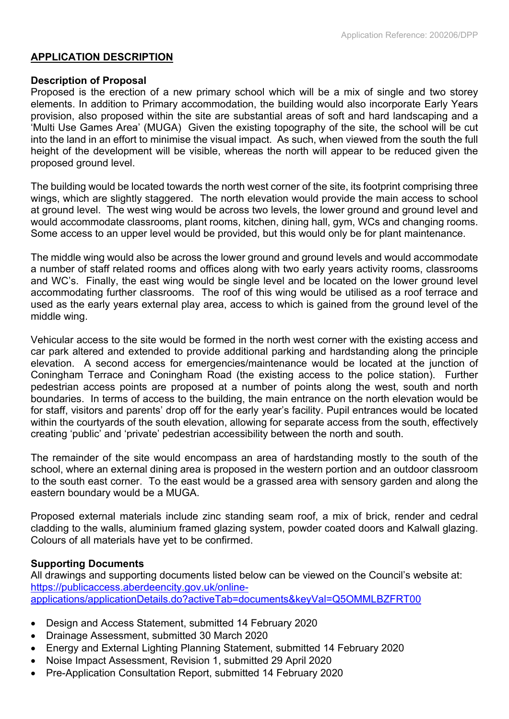# **APPLICATION DESCRIPTION**

#### **Description of Proposal**

Proposed is the erection of a new primary school which will be a mix of single and two storey elements. In addition to Primary accommodation, the building would also incorporate Early Years provision, also proposed within the site are substantial areas of soft and hard landscaping and a 'Multi Use Games Area' (MUGA) Given the existing topography of the site, the school will be cut into the land in an effort to minimise the visual impact. As such, when viewed from the south the full height of the development will be visible, whereas the north will appear to be reduced given the proposed ground level.

The building would be located towards the north west corner of the site, its footprint comprising three wings, which are slightly staggered. The north elevation would provide the main access to school at ground level. The west wing would be across two levels, the lower ground and ground level and would accommodate classrooms, plant rooms, kitchen, dining hall, gym, WCs and changing rooms. Some access to an upper level would be provided, but this would only be for plant maintenance.

The middle wing would also be across the lower ground and ground levels and would accommodate a number of staff related rooms and offices along with two early years activity rooms, classrooms and WC's. Finally, the east wing would be single level and be located on the lower ground level accommodating further classrooms. The roof of this wing would be utilised as a roof terrace and used as the early years external play area, access to which is gained from the ground level of the middle wing.

Vehicular access to the site would be formed in the north west corner with the existing access and car park altered and extended to provide additional parking and hardstanding along the principle elevation. A second access for emergencies/maintenance would be located at the junction of Coningham Terrace and Coningham Road (the existing access to the police station). Further pedestrian access points are proposed at a number of points along the west, south and north boundaries. In terms of access to the building, the main entrance on the north elevation would be for staff, visitors and parents' drop off for the early year's facility. Pupil entrances would be located within the courtyards of the south elevation, allowing for separate access from the south, effectively creating 'public' and 'private' pedestrian accessibility between the north and south.

The remainder of the site would encompass an area of hardstanding mostly to the south of the school, where an external dining area is proposed in the western portion and an outdoor classroom to the south east corner. To the east would be a grassed area with sensory garden and along the eastern boundary would be a MUGA.

Proposed external materials include zinc standing seam roof, a mix of brick, render and cedral cladding to the walls, aluminium framed glazing system, powder coated doors and Kalwall glazing. Colours of all materials have yet to be confirmed.

# **Supporting Documents**

All drawings and supporting documents listed below can be viewed on the Council's website at: [https://publicaccess.aberdeencity.gov.uk/online](https://publicaccess.aberdeencity.gov.uk/online-applications/applicationDetails.do?activeTab=documents&keyVal=Q5OMMLBZFRT00)[applications/applicationDetails.do?activeTab=documents&keyVal=Q5OMMLBZFRT00](https://publicaccess.aberdeencity.gov.uk/online-applications/applicationDetails.do?activeTab=documents&keyVal=Q5OMMLBZFRT00)

- Design and Access Statement, submitted 14 February 2020
- Drainage Assessment, submitted 30 March 2020
- Energy and External Lighting Planning Statement, submitted 14 February 2020
- Noise Impact Assessment, Revision 1, submitted 29 April 2020
- Pre-Application Consultation Report, submitted 14 February 2020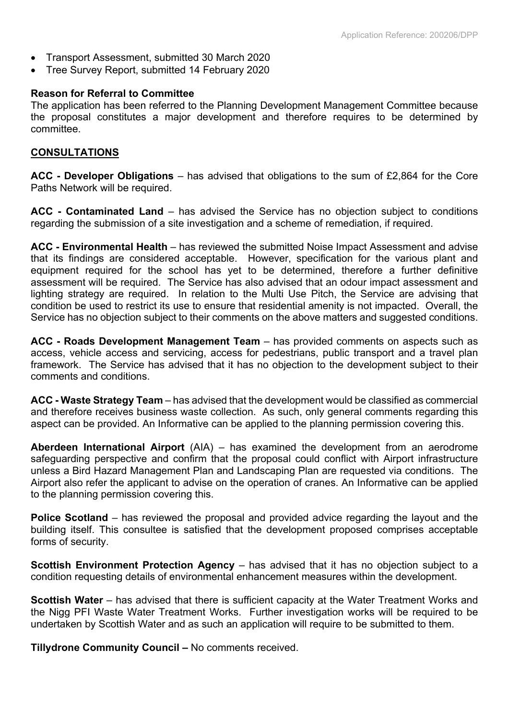- Transport Assessment, submitted 30 March 2020
- Tree Survey Report, submitted 14 February 2020

#### **Reason for Referral to Committee**

The application has been referred to the Planning Development Management Committee because the proposal constitutes a major development and therefore requires to be determined by committee.

#### **CONSULTATIONS**

**ACC - Developer Obligations** – has advised that obligations to the sum of £2,864 for the Core Paths Network will be required.

**ACC - Contaminated Land** – has advised the Service has no objection subject to conditions regarding the submission of a site investigation and a scheme of remediation, if required.

**ACC - Environmental Health** – has reviewed the submitted Noise Impact Assessment and advise that its findings are considered acceptable. However, specification for the various plant and equipment required for the school has yet to be determined, therefore a further definitive assessment will be required. The Service has also advised that an odour impact assessment and lighting strategy are required. In relation to the Multi Use Pitch, the Service are advising that condition be used to restrict its use to ensure that residential amenity is not impacted. Overall, the Service has no objection subject to their comments on the above matters and suggested conditions.

**ACC - Roads Development Management Team** – has provided comments on aspects such as access, vehicle access and servicing, access for pedestrians, public transport and a travel plan framework. The Service has advised that it has no objection to the development subject to their comments and conditions.

**ACC - Waste Strategy Team** – has advised that the development would be classified as commercial and therefore receives business waste collection. As such, only general comments regarding this aspect can be provided. An Informative can be applied to the planning permission covering this.

**Aberdeen International Airport** (AIA) – has examined the development from an aerodrome safeguarding perspective and confirm that the proposal could conflict with Airport infrastructure unless a Bird Hazard Management Plan and Landscaping Plan are requested via conditions. The Airport also refer the applicant to advise on the operation of cranes. An Informative can be applied to the planning permission covering this.

**Police Scotland** – has reviewed the proposal and provided advice regarding the layout and the building itself. This consultee is satisfied that the development proposed comprises acceptable forms of security.

**Scottish Environment Protection Agency** – has advised that it has no objection subject to a condition requesting details of environmental enhancement measures within the development.

**Scottish Water** – has advised that there is sufficient capacity at the Water Treatment Works and the Nigg PFI Waste Water Treatment Works. Further investigation works will be required to be undertaken by Scottish Water and as such an application will require to be submitted to them.

**Tillydrone Community Council –** No comments received.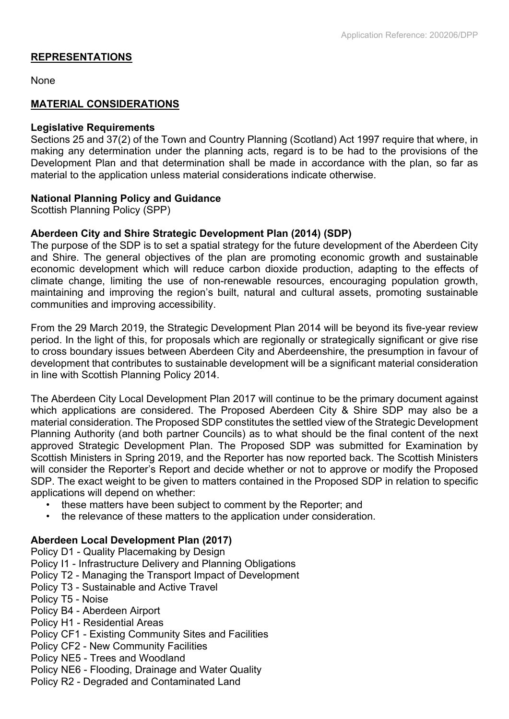# **REPRESENTATIONS**

None

# **MATERIAL CONSIDERATIONS**

#### **Legislative Requirements**

Sections 25 and 37(2) of the Town and Country Planning (Scotland) Act 1997 require that where, in making any determination under the planning acts, regard is to be had to the provisions of the Development Plan and that determination shall be made in accordance with the plan, so far as material to the application unless material considerations indicate otherwise.

# **National Planning Policy and Guidance**

Scottish Planning Policy (SPP)

# **Aberdeen City and Shire Strategic Development Plan (2014) (SDP)**

The purpose of the SDP is to set a spatial strategy for the future development of the Aberdeen City and Shire. The general objectives of the plan are promoting economic growth and sustainable economic development which will reduce carbon dioxide production, adapting to the effects of climate change, limiting the use of non-renewable resources, encouraging population growth, maintaining and improving the region's built, natural and cultural assets, promoting sustainable communities and improving accessibility.

From the 29 March 2019, the Strategic Development Plan 2014 will be beyond its five-year review period. In the light of this, for proposals which are regionally or strategically significant or give rise to cross boundary issues between Aberdeen City and Aberdeenshire, the presumption in favour of development that contributes to sustainable development will be a significant material consideration in line with Scottish Planning Policy 2014.

The Aberdeen City Local Development Plan 2017 will continue to be the primary document against which applications are considered. The Proposed Aberdeen City & Shire SDP may also be a material consideration. The Proposed SDP constitutes the settled view of the Strategic Development Planning Authority (and both partner Councils) as to what should be the final content of the next approved Strategic Development Plan. The Proposed SDP was submitted for Examination by Scottish Ministers in Spring 2019, and the Reporter has now reported back. The Scottish Ministers will consider the Reporter's Report and decide whether or not to approve or modify the Proposed SDP. The exact weight to be given to matters contained in the Proposed SDP in relation to specific applications will depend on whether:

- these matters have been subject to comment by the Reporter; and
- the relevance of these matters to the application under consideration.

# **Aberdeen Local Development Plan (2017)**

- Policy D1 Quality Placemaking by Design
- Policy I1 Infrastructure Delivery and Planning Obligations
- Policy T2 Managing the Transport Impact of Development
- Policy T3 Sustainable and Active Travel
- Policy T5 Noise
- Policy B4 Aberdeen Airport
- Policy H1 Residential Areas
- Policy CF1 Existing Community Sites and Facilities
- Policy CF2 New Community Facilities
- Policy NE5 Trees and Woodland
- Policy NE6 Flooding, Drainage and Water Quality
- Policy R2 Degraded and Contaminated Land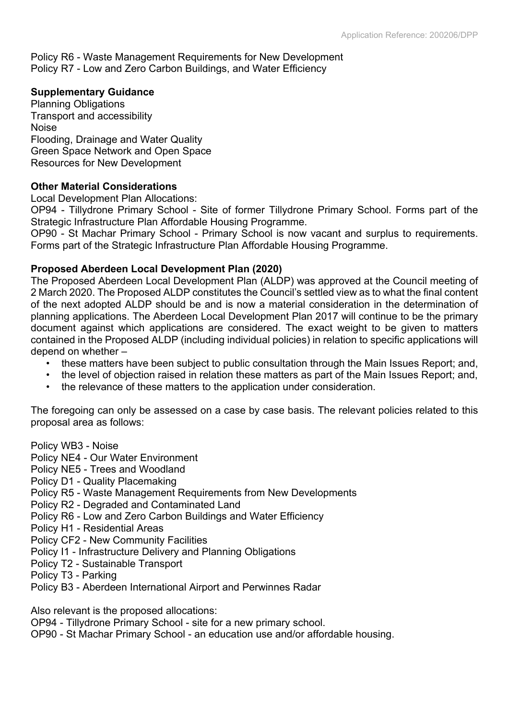Policy R6 - Waste Management Requirements for New Development Policy R7 - Low and Zero Carbon Buildings, and Water Efficiency

# **Supplementary Guidance**

Planning Obligations Transport and accessibility Noise Flooding, Drainage and Water Quality Green Space Network and Open Space Resources for New Development

# **Other Material Considerations**

Local Development Plan Allocations:

OP94 - Tillydrone Primary School - Site of former Tillydrone Primary School. Forms part of the Strategic Infrastructure Plan Affordable Housing Programme.

OP90 - St Machar Primary School - Primary School is now vacant and surplus to requirements. Forms part of the Strategic Infrastructure Plan Affordable Housing Programme.

# **Proposed Aberdeen Local Development Plan (2020)**

The Proposed Aberdeen Local Development Plan (ALDP) was approved at the Council meeting of 2 March 2020. The Proposed ALDP constitutes the Council's settled view as to what the final content of the next adopted ALDP should be and is now a material consideration in the determination of planning applications. The Aberdeen Local Development Plan 2017 will continue to be the primary document against which applications are considered. The exact weight to be given to matters contained in the Proposed ALDP (including individual policies) in relation to specific applications will depend on whether –

- these matters have been subject to public consultation through the Main Issues Report; and,
- the level of objection raised in relation these matters as part of the Main Issues Report; and,
- the relevance of these matters to the application under consideration.

The foregoing can only be assessed on a case by case basis. The relevant policies related to this proposal area as follows:

Policy WB3 - Noise Policy NE4 - Our Water Environment Policy NE5 - Trees and Woodland Policy D1 - Quality Placemaking Policy R5 - Waste Management Requirements from New Developments Policy R2 - Degraded and Contaminated Land Policy R6 - Low and Zero Carbon Buildings and Water Efficiency Policy H1 - Residential Areas Policy CF2 - New Community Facilities Policy I1 - Infrastructure Delivery and Planning Obligations Policy T2 - Sustainable Transport Policy T3 - Parking Policy B3 - Aberdeen International Airport and Perwinnes Radar

Also relevant is the proposed allocations:

OP94 - Tillydrone Primary School - site for a new primary school.

OP90 - St Machar Primary School - an education use and/or affordable housing.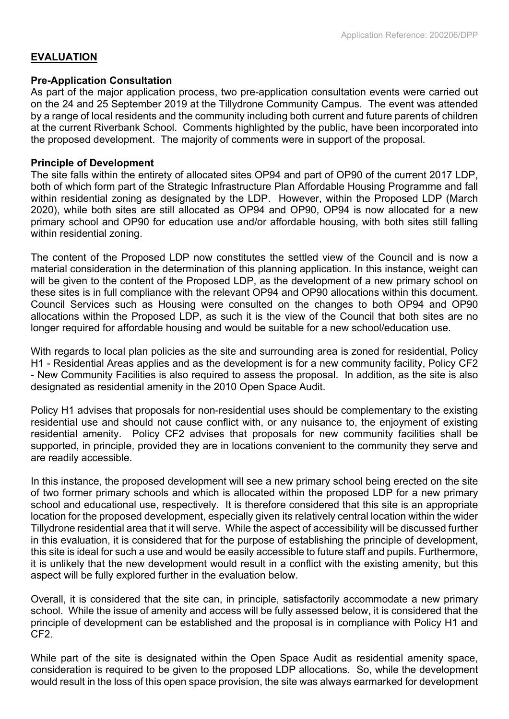# **EVALUATION**

# **Pre-Application Consultation**

As part of the major application process, two pre-application consultation events were carried out on the 24 and 25 September 2019 at the Tillydrone Community Campus. The event was attended by a range of local residents and the community including both current and future parents of children at the current Riverbank School. Comments highlighted by the public, have been incorporated into the proposed development. The majority of comments were in support of the proposal.

## **Principle of Development**

The site falls within the entirety of allocated sites OP94 and part of OP90 of the current 2017 LDP, both of which form part of the Strategic Infrastructure Plan Affordable Housing Programme and fall within residential zoning as designated by the LDP. However, within the Proposed LDP (March 2020), while both sites are still allocated as OP94 and OP90, OP94 is now allocated for a new primary school and OP90 for education use and/or affordable housing, with both sites still falling within residential zoning.

The content of the Proposed LDP now constitutes the settled view of the Council and is now a material consideration in the determination of this planning application. In this instance, weight can will be given to the content of the Proposed LDP, as the development of a new primary school on these sites is in full compliance with the relevant OP94 and OP90 allocations within this document. Council Services such as Housing were consulted on the changes to both OP94 and OP90 allocations within the Proposed LDP, as such it is the view of the Council that both sites are no longer required for affordable housing and would be suitable for a new school/education use.

With regards to local plan policies as the site and surrounding area is zoned for residential, Policy H1 - Residential Areas applies and as the development is for a new community facility, Policy CF2 - New Community Facilities is also required to assess the proposal. In addition, as the site is also designated as residential amenity in the 2010 Open Space Audit.

Policy H1 advises that proposals for non-residential uses should be complementary to the existing residential use and should not cause conflict with, or any nuisance to, the enjoyment of existing residential amenity. Policy CF2 advises that proposals for new community facilities shall be supported, in principle, provided they are in locations convenient to the community they serve and are readily accessible.

In this instance, the proposed development will see a new primary school being erected on the site of two former primary schools and which is allocated within the proposed LDP for a new primary school and educational use, respectively. It is therefore considered that this site is an appropriate location for the proposed development, especially given its relatively central location within the wider Tillydrone residential area that it will serve. While the aspect of accessibility will be discussed further in this evaluation, it is considered that for the purpose of establishing the principle of development, this site is ideal for such a use and would be easily accessible to future staff and pupils. Furthermore, it is unlikely that the new development would result in a conflict with the existing amenity, but this aspect will be fully explored further in the evaluation below.

Overall, it is considered that the site can, in principle, satisfactorily accommodate a new primary school. While the issue of amenity and access will be fully assessed below, it is considered that the principle of development can be established and the proposal is in compliance with Policy H1 and CF2.

While part of the site is designated within the Open Space Audit as residential amenity space, consideration is required to be given to the proposed LDP allocations. So, while the development would result in the loss of this open space provision, the site was always earmarked for development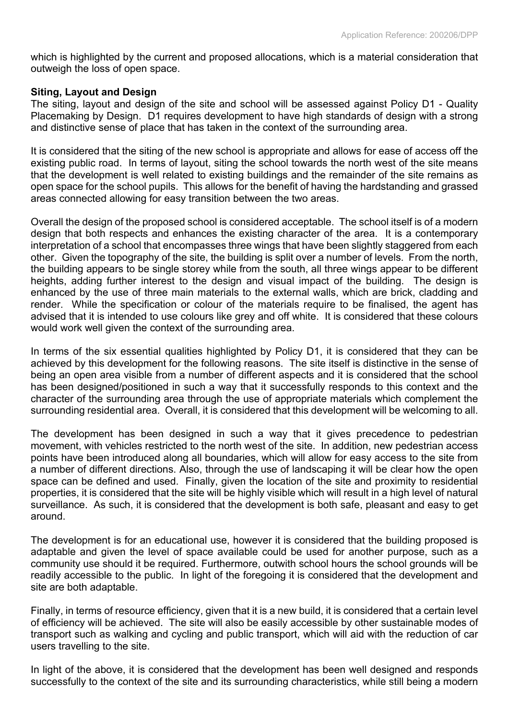which is highlighted by the current and proposed allocations, which is a material consideration that outweigh the loss of open space.

#### **Siting, Layout and Design**

The siting, layout and design of the site and school will be assessed against Policy D1 - Quality Placemaking by Design. D1 requires development to have high standards of design with a strong and distinctive sense of place that has taken in the context of the surrounding area.

It is considered that the siting of the new school is appropriate and allows for ease of access off the existing public road. In terms of layout, siting the school towards the north west of the site means that the development is well related to existing buildings and the remainder of the site remains as open space for the school pupils. This allows for the benefit of having the hardstanding and grassed areas connected allowing for easy transition between the two areas.

Overall the design of the proposed school is considered acceptable. The school itself is of a modern design that both respects and enhances the existing character of the area. It is a contemporary interpretation of a school that encompasses three wings that have been slightly staggered from each other. Given the topography of the site, the building is split over a number of levels. From the north, the building appears to be single storey while from the south, all three wings appear to be different heights, adding further interest to the design and visual impact of the building. The design is enhanced by the use of three main materials to the external walls, which are brick, cladding and render. While the specification or colour of the materials require to be finalised, the agent has advised that it is intended to use colours like grey and off white. It is considered that these colours would work well given the context of the surrounding area.

In terms of the six essential qualities highlighted by Policy D1, it is considered that they can be achieved by this development for the following reasons. The site itself is distinctive in the sense of being an open area visible from a number of different aspects and it is considered that the school has been designed/positioned in such a way that it successfully responds to this context and the character of the surrounding area through the use of appropriate materials which complement the surrounding residential area. Overall, it is considered that this development will be welcoming to all.

The development has been designed in such a way that it gives precedence to pedestrian movement, with vehicles restricted to the north west of the site. In addition, new pedestrian access points have been introduced along all boundaries, which will allow for easy access to the site from a number of different directions. Also, through the use of landscaping it will be clear how the open space can be defined and used. Finally, given the location of the site and proximity to residential properties, it is considered that the site will be highly visible which will result in a high level of natural surveillance. As such, it is considered that the development is both safe, pleasant and easy to get around.

The development is for an educational use, however it is considered that the building proposed is adaptable and given the level of space available could be used for another purpose, such as a community use should it be required. Furthermore, outwith school hours the school grounds will be readily accessible to the public. In light of the foregoing it is considered that the development and site are both adaptable.

Finally, in terms of resource efficiency, given that it is a new build, it is considered that a certain level of efficiency will be achieved. The site will also be easily accessible by other sustainable modes of transport such as walking and cycling and public transport, which will aid with the reduction of car users travelling to the site.

In light of the above, it is considered that the development has been well designed and responds successfully to the context of the site and its surrounding characteristics, while still being a modern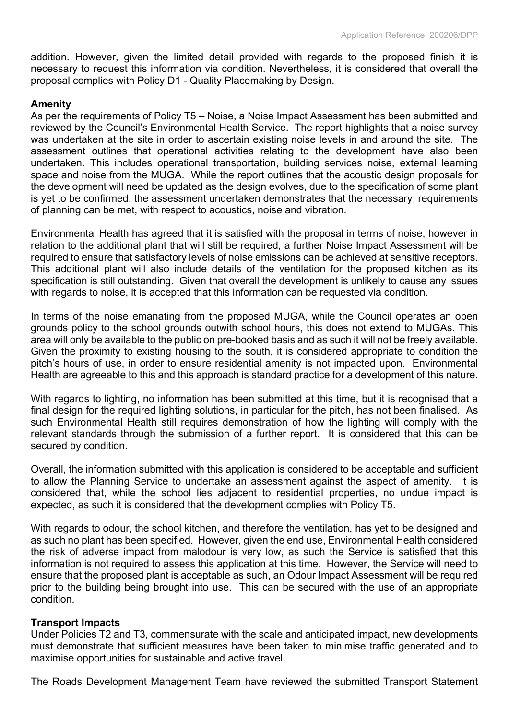addition. However, given the limited detail provided with regards to the proposed finish it is necessary to request this information via condition. Nevertheless, it is considered that overall the proposal complies with Policy D1 - Quality Placemaking by Design.

# **Amenity**

As per the requirements of Policy T5 – Noise, a Noise Impact Assessment has been submitted and reviewed by the Council's Environmental Health Service. The report highlights that a noise survey was undertaken at the site in order to ascertain existing noise levels in and around the site. The assessment outlines that operational activities relating to the development have also been undertaken. This includes operational transportation, building services noise, external learning space and noise from the MUGA. While the report outlines that the acoustic design proposals for the development will need be updated as the design evolves, due to the specification of some plant is yet to be confirmed, the assessment undertaken demonstrates that the necessary requirements of planning can be met, with respect to acoustics, noise and vibration.

Environmental Health has agreed that it is satisfied with the proposal in terms of noise, however in relation to the additional plant that will still be required, a further Noise Impact Assessment will be required to ensure that satisfactory levels of noise emissions can be achieved at sensitive receptors. This additional plant will also include details of the ventilation for the proposed kitchen as its specification is still outstanding. Given that overall the development is unlikely to cause any issues with regards to noise, it is accepted that this information can be requested via condition.

In terms of the noise emanating from the proposed MUGA, while the Council operates an open grounds policy to the school grounds outwith school hours, this does not extend to MUGAs. This area will only be available to the public on pre-booked basis and as such it will not be freely available. Given the proximity to existing housing to the south, it is considered appropriate to condition the pitch's hours of use, in order to ensure residential amenity is not impacted upon. Environmental Health are agreeable to this and this approach is standard practice for a development of this nature.

With regards to lighting, no information has been submitted at this time, but it is recognised that a final design for the required lighting solutions, in particular for the pitch, has not been finalised. As such Environmental Health still requires demonstration of how the lighting will comply with the relevant standards through the submission of a further report. It is considered that this can be secured by condition.

Overall, the information submitted with this application is considered to be acceptable and sufficient to allow the Planning Service to undertake an assessment against the aspect of amenity. It is considered that, while the school lies adjacent to residential properties, no undue impact is expected, as such it is considered that the development complies with Policy T5.

With regards to odour, the school kitchen, and therefore the ventilation, has yet to be designed and as such no plant has been specified. However, given the end use, Environmental Health considered the risk of adverse impact from malodour is very low, as such the Service is satisfied that this information is not required to assess this application at this time. However, the Service will need to ensure that the proposed plant is acceptable as such, an Odour Impact Assessment will be required prior to the building being brought into use. This can be secured with the use of an appropriate condition.

# **Transport Impacts**

Under Policies T2 and T3, commensurate with the scale and anticipated impact, new developments must demonstrate that sufficient measures have been taken to minimise traffic generated and to maximise opportunities for sustainable and active travel.

The Roads Development Management Team have reviewed the submitted Transport Statement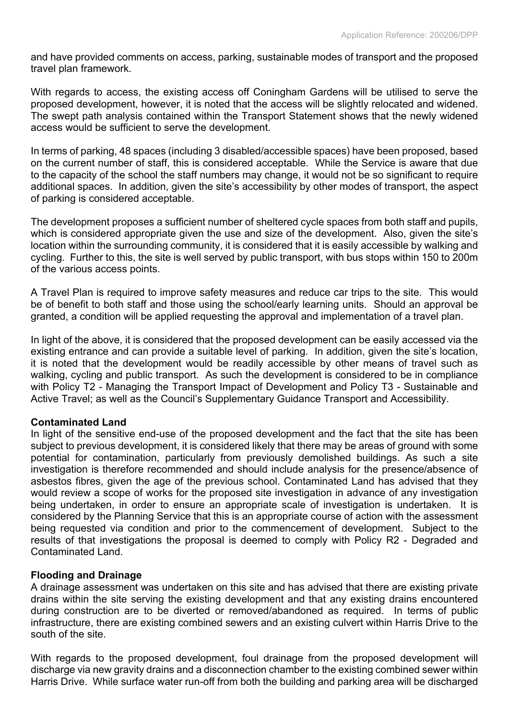and have provided comments on access, parking, sustainable modes of transport and the proposed travel plan framework.

With regards to access, the existing access off Coningham Gardens will be utilised to serve the proposed development, however, it is noted that the access will be slightly relocated and widened. The swept path analysis contained within the Transport Statement shows that the newly widened access would be sufficient to serve the development.

In terms of parking, 48 spaces (including 3 disabled/accessible spaces) have been proposed, based on the current number of staff, this is considered acceptable. While the Service is aware that due to the capacity of the school the staff numbers may change, it would not be so significant to require additional spaces. In addition, given the site's accessibility by other modes of transport, the aspect of parking is considered acceptable.

The development proposes a sufficient number of sheltered cycle spaces from both staff and pupils, which is considered appropriate given the use and size of the development. Also, given the site's location within the surrounding community, it is considered that it is easily accessible by walking and cycling. Further to this, the site is well served by public transport, with bus stops within 150 to 200m of the various access points.

A Travel Plan is required to improve safety measures and reduce car trips to the site. This would be of benefit to both staff and those using the school/early learning units. Should an approval be granted, a condition will be applied requesting the approval and implementation of a travel plan.

In light of the above, it is considered that the proposed development can be easily accessed via the existing entrance and can provide a suitable level of parking. In addition, given the site's location, it is noted that the development would be readily accessible by other means of travel such as walking, cycling and public transport. As such the development is considered to be in compliance with Policy T2 - Managing the Transport Impact of Development and Policy T3 - Sustainable and Active Travel; as well as the Council's Supplementary Guidance Transport and Accessibility.

# **Contaminated Land**

In light of the sensitive end-use of the proposed development and the fact that the site has been subject to previous development, it is considered likely that there may be areas of ground with some potential for contamination, particularly from previously demolished buildings. As such a site investigation is therefore recommended and should include analysis for the presence/absence of asbestos fibres, given the age of the previous school. Contaminated Land has advised that they would review a scope of works for the proposed site investigation in advance of any investigation being undertaken, in order to ensure an appropriate scale of investigation is undertaken. It is considered by the Planning Service that this is an appropriate course of action with the assessment being requested via condition and prior to the commencement of development. Subject to the results of that investigations the proposal is deemed to comply with Policy R2 - Degraded and Contaminated Land.

# **Flooding and Drainage**

A drainage assessment was undertaken on this site and has advised that there are existing private drains within the site serving the existing development and that any existing drains encountered during construction are to be diverted or removed/abandoned as required. In terms of public infrastructure, there are existing combined sewers and an existing culvert within Harris Drive to the south of the site.

With regards to the proposed development, foul drainage from the proposed development will discharge via new gravity drains and a disconnection chamber to the existing combined sewer within Harris Drive. While surface water run-off from both the building and parking area will be discharged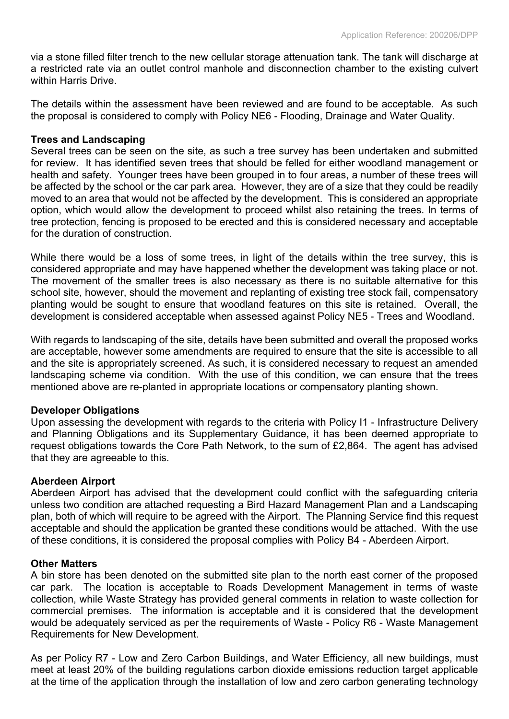via a stone filled filter trench to the new cellular storage attenuation tank. The tank will discharge at a restricted rate via an outlet control manhole and disconnection chamber to the existing culvert within Harris Drive.

The details within the assessment have been reviewed and are found to be acceptable. As such the proposal is considered to comply with Policy NE6 - Flooding, Drainage and Water Quality.

#### **Trees and Landscaping**

Several trees can be seen on the site, as such a tree survey has been undertaken and submitted for review. It has identified seven trees that should be felled for either woodland management or health and safety. Younger trees have been grouped in to four areas, a number of these trees will be affected by the school or the car park area. However, they are of a size that they could be readily moved to an area that would not be affected by the development. This is considered an appropriate option, which would allow the development to proceed whilst also retaining the trees. In terms of tree protection, fencing is proposed to be erected and this is considered necessary and acceptable for the duration of construction.

While there would be a loss of some trees, in light of the details within the tree survey, this is considered appropriate and may have happened whether the development was taking place or not. The movement of the smaller trees is also necessary as there is no suitable alternative for this school site, however, should the movement and replanting of existing tree stock fail, compensatory planting would be sought to ensure that woodland features on this site is retained. Overall, the development is considered acceptable when assessed against Policy NE5 - Trees and Woodland.

With regards to landscaping of the site, details have been submitted and overall the proposed works are acceptable, however some amendments are required to ensure that the site is accessible to all and the site is appropriately screened. As such, it is considered necessary to request an amended landscaping scheme via condition. With the use of this condition, we can ensure that the trees mentioned above are re-planted in appropriate locations or compensatory planting shown.

# **Developer Obligations**

Upon assessing the development with regards to the criteria with Policy I1 - Infrastructure Delivery and Planning Obligations and its Supplementary Guidance, it has been deemed appropriate to request obligations towards the Core Path Network, to the sum of £2,864. The agent has advised that they are agreeable to this.

# **Aberdeen Airport**

Aberdeen Airport has advised that the development could conflict with the safeguarding criteria unless two condition are attached requesting a Bird Hazard Management Plan and a Landscaping plan, both of which will require to be agreed with the Airport. The Planning Service find this request acceptable and should the application be granted these conditions would be attached. With the use of these conditions, it is considered the proposal complies with Policy B4 - Aberdeen Airport.

#### **Other Matters**

A bin store has been denoted on the submitted site plan to the north east corner of the proposed car park. The location is acceptable to Roads Development Management in terms of waste collection, while Waste Strategy has provided general comments in relation to waste collection for commercial premises. The information is acceptable and it is considered that the development would be adequately serviced as per the requirements of Waste - Policy R6 - Waste Management Requirements for New Development.

As per Policy R7 - Low and Zero Carbon Buildings, and Water Efficiency, all new buildings, must meet at least 20% of the building regulations carbon dioxide emissions reduction target applicable at the time of the application through the installation of low and zero carbon generating technology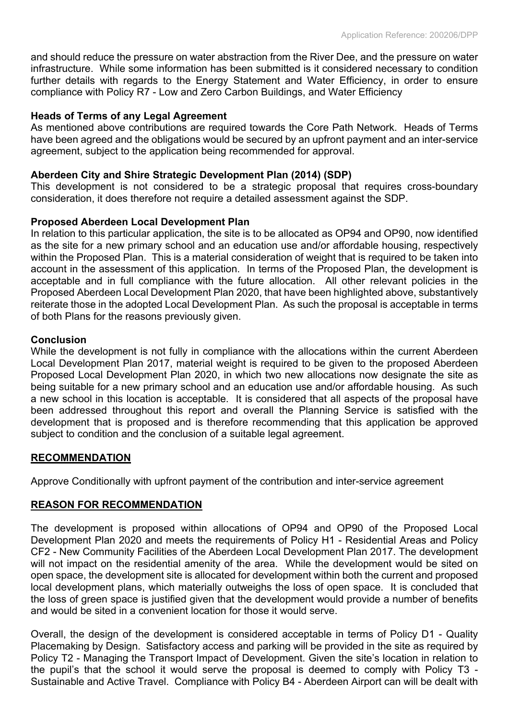and should reduce the pressure on water abstraction from the River Dee, and the pressure on water infrastructure. While some information has been submitted is it considered necessary to condition further details with regards to the Energy Statement and Water Efficiency, in order to ensure compliance with Policy R7 - Low and Zero Carbon Buildings, and Water Efficiency

#### **Heads of Terms of any Legal Agreement**

As mentioned above contributions are required towards the Core Path Network. Heads of Terms have been agreed and the obligations would be secured by an upfront payment and an inter-service agreement, subject to the application being recommended for approval.

# **Aberdeen City and Shire Strategic Development Plan (2014) (SDP)**

This development is not considered to be a strategic proposal that requires cross-boundary consideration, it does therefore not require a detailed assessment against the SDP.

#### **Proposed Aberdeen Local Development Plan**

In relation to this particular application, the site is to be allocated as OP94 and OP90, now identified as the site for a new primary school and an education use and/or affordable housing, respectively within the Proposed Plan. This is a material consideration of weight that is required to be taken into account in the assessment of this application. In terms of the Proposed Plan, the development is acceptable and in full compliance with the future allocation. All other relevant policies in the Proposed Aberdeen Local Development Plan 2020, that have been highlighted above, substantively reiterate those in the adopted Local Development Plan. As such the proposal is acceptable in terms of both Plans for the reasons previously given.

#### **Conclusion**

While the development is not fully in compliance with the allocations within the current Aberdeen Local Development Plan 2017, material weight is required to be given to the proposed Aberdeen Proposed Local Development Plan 2020, in which two new allocations now designate the site as being suitable for a new primary school and an education use and/or affordable housing. As such a new school in this location is acceptable. It is considered that all aspects of the proposal have been addressed throughout this report and overall the Planning Service is satisfied with the development that is proposed and is therefore recommending that this application be approved subject to condition and the conclusion of a suitable legal agreement.

# **RECOMMENDATION**

Approve Conditionally with upfront payment of the contribution and inter-service agreement

#### **REASON FOR RECOMMENDATION**

The development is proposed within allocations of OP94 and OP90 of the Proposed Local Development Plan 2020 and meets the requirements of Policy H1 - Residential Areas and Policy CF2 - New Community Facilities of the Aberdeen Local Development Plan 2017. The development will not impact on the residential amenity of the area. While the development would be sited on open space, the development site is allocated for development within both the current and proposed local development plans, which materially outweighs the loss of open space. It is concluded that the loss of green space is justified given that the development would provide a number of benefits and would be sited in a convenient location for those it would serve.

Overall, the design of the development is considered acceptable in terms of Policy D1 - Quality Placemaking by Design. Satisfactory access and parking will be provided in the site as required by Policy T2 - Managing the Transport Impact of Development. Given the site's location in relation to the pupil's that the school it would serve the proposal is deemed to comply with Policy T3 - Sustainable and Active Travel. Compliance with Policy B4 - Aberdeen Airport can will be dealt with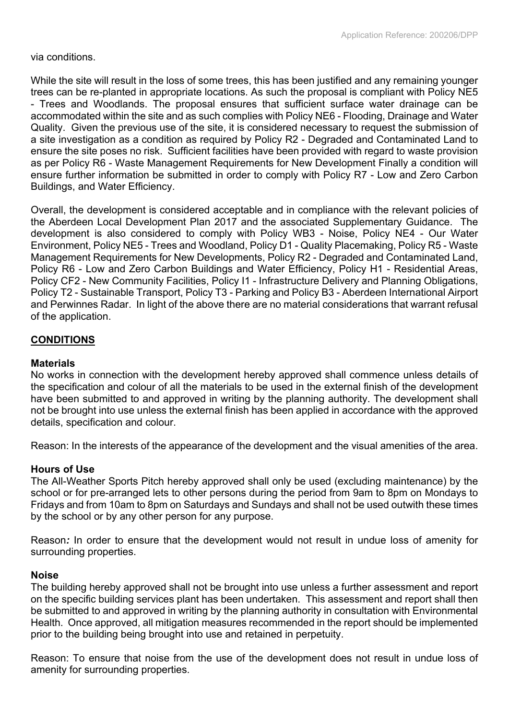### via conditions.

While the site will result in the loss of some trees, this has been justified and any remaining younger trees can be re-planted in appropriate locations. As such the proposal is compliant with Policy NE5 - Trees and Woodlands. The proposal ensures that sufficient surface water drainage can be accommodated within the site and as such complies with Policy NE6 - Flooding, Drainage and Water Quality. Given the previous use of the site, it is considered necessary to request the submission of a site investigation as a condition as required by Policy R2 - Degraded and Contaminated Land to ensure the site poses no risk. Sufficient facilities have been provided with regard to waste provision as per Policy R6 - Waste Management Requirements for New Development Finally a condition will ensure further information be submitted in order to comply with Policy R7 - Low and Zero Carbon Buildings, and Water Efficiency.

Overall, the development is considered acceptable and in compliance with the relevant policies of the Aberdeen Local Development Plan 2017 and the associated Supplementary Guidance. The development is also considered to comply with Policy WB3 - Noise, Policy NE4 - Our Water Environment, Policy NE5 - Trees and Woodland, Policy D1 - Quality Placemaking, Policy R5 - Waste Management Requirements for New Developments, Policy R2 - Degraded and Contaminated Land, Policy R6 - Low and Zero Carbon Buildings and Water Efficiency, Policy H1 - Residential Areas, Policy CF2 - New Community Facilities, Policy I1 - Infrastructure Delivery and Planning Obligations, Policy T2 - Sustainable Transport, Policy T3 - Parking and Policy B3 - Aberdeen International Airport and Perwinnes Radar. In light of the above there are no material considerations that warrant refusal of the application.

# **CONDITIONS**

# **Materials**

No works in connection with the development hereby approved shall commence unless details of the specification and colour of all the materials to be used in the external finish of the development have been submitted to and approved in writing by the planning authority. The development shall not be brought into use unless the external finish has been applied in accordance with the approved details, specification and colour.

Reason: In the interests of the appearance of the development and the visual amenities of the area.

# **Hours of Use**

The All-Weather Sports Pitch hereby approved shall only be used (excluding maintenance) by the school or for pre-arranged lets to other persons during the period from 9am to 8pm on Mondays to Fridays and from 10am to 8pm on Saturdays and Sundays and shall not be used outwith these times by the school or by any other person for any purpose.

Reason*:* In order to ensure that the development would not result in undue loss of amenity for surrounding properties.

# **Noise**

The building hereby approved shall not be brought into use unless a further assessment and report on the specific building services plant has been undertaken. This assessment and report shall then be submitted to and approved in writing by the planning authority in consultation with Environmental Health. Once approved, all mitigation measures recommended in the report should be implemented prior to the building being brought into use and retained in perpetuity.

Reason: To ensure that noise from the use of the development does not result in undue loss of amenity for surrounding properties.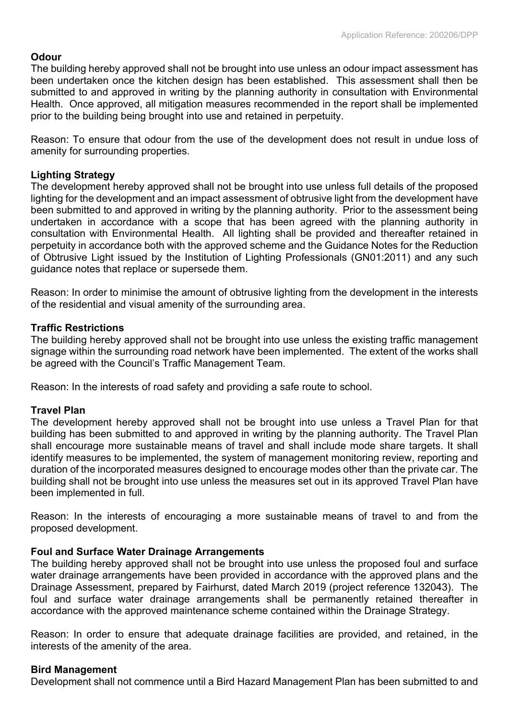# **Odour**

The building hereby approved shall not be brought into use unless an odour impact assessment has been undertaken once the kitchen design has been established. This assessment shall then be submitted to and approved in writing by the planning authority in consultation with Environmental Health. Once approved, all mitigation measures recommended in the report shall be implemented prior to the building being brought into use and retained in perpetuity.

Reason: To ensure that odour from the use of the development does not result in undue loss of amenity for surrounding properties.

# **Lighting Strategy**

The development hereby approved shall not be brought into use unless full details of the proposed lighting for the development and an impact assessment of obtrusive light from the development have been submitted to and approved in writing by the planning authority. Prior to the assessment being undertaken in accordance with a scope that has been agreed with the planning authority in consultation with Environmental Health. All lighting shall be provided and thereafter retained in perpetuity in accordance both with the approved scheme and the Guidance Notes for the Reduction of Obtrusive Light issued by the Institution of Lighting Professionals (GN01:2011) and any such guidance notes that replace or supersede them.

Reason: In order to minimise the amount of obtrusive lighting from the development in the interests of the residential and visual amenity of the surrounding area.

# **Traffic Restrictions**

The building hereby approved shall not be brought into use unless the existing traffic management signage within the surrounding road network have been implemented. The extent of the works shall be agreed with the Council's Traffic Management Team.

Reason: In the interests of road safety and providing a safe route to school.

# **Travel Plan**

The development hereby approved shall not be brought into use unless a Travel Plan for that building has been submitted to and approved in writing by the planning authority. The Travel Plan shall encourage more sustainable means of travel and shall include mode share targets. It shall identify measures to be implemented, the system of management monitoring review, reporting and duration of the incorporated measures designed to encourage modes other than the private car. The building shall not be brought into use unless the measures set out in its approved Travel Plan have been implemented in full.

Reason: In the interests of encouraging a more sustainable means of travel to and from the proposed development.

# **Foul and Surface Water Drainage Arrangements**

The building hereby approved shall not be brought into use unless the proposed foul and surface water drainage arrangements have been provided in accordance with the approved plans and the Drainage Assessment, prepared by Fairhurst, dated March 2019 (project reference 132043). The foul and surface water drainage arrangements shall be permanently retained thereafter in accordance with the approved maintenance scheme contained within the Drainage Strategy.

Reason: In order to ensure that adequate drainage facilities are provided, and retained, in the interests of the amenity of the area.

#### **Bird Management**

Development shall not commence until a Bird Hazard Management Plan has been submitted to and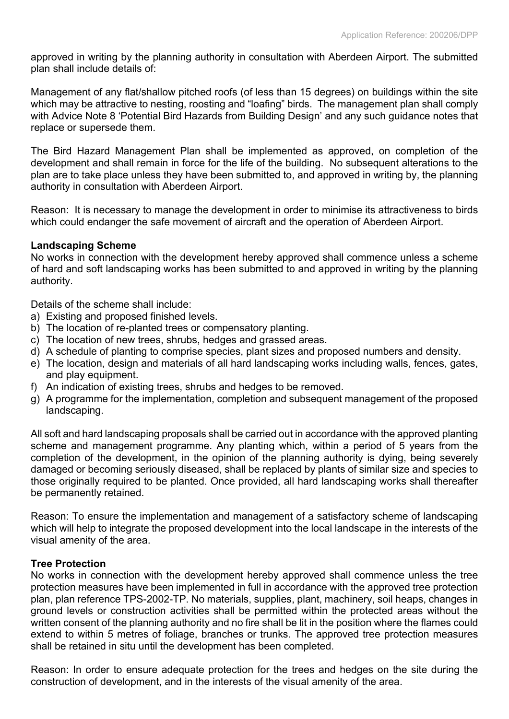approved in writing by the planning authority in consultation with Aberdeen Airport. The submitted plan shall include details of:

Management of any flat/shallow pitched roofs (of less than 15 degrees) on buildings within the site which may be attractive to nesting, roosting and "loafing" birds. The management plan shall comply with Advice Note 8 'Potential Bird Hazards from Building Design' and any such guidance notes that replace or supersede them.

The Bird Hazard Management Plan shall be implemented as approved, on completion of the development and shall remain in force for the life of the building. No subsequent alterations to the plan are to take place unless they have been submitted to, and approved in writing by, the planning authority in consultation with Aberdeen Airport.

Reason: It is necessary to manage the development in order to minimise its attractiveness to birds which could endanger the safe movement of aircraft and the operation of Aberdeen Airport.

#### **Landscaping Scheme**

No works in connection with the development hereby approved shall commence unless a scheme of hard and soft landscaping works has been submitted to and approved in writing by the planning authority.

Details of the scheme shall include:

- a) Existing and proposed finished levels.
- b) The location of re-planted trees or compensatory planting.
- c) The location of new trees, shrubs, hedges and grassed areas.
- d) A schedule of planting to comprise species, plant sizes and proposed numbers and density.
- e) The location, design and materials of all hard landscaping works including walls, fences, gates, and play equipment.
- f) An indication of existing trees, shrubs and hedges to be removed.
- g) A programme for the implementation, completion and subsequent management of the proposed landscaping.

All soft and hard landscaping proposals shall be carried out in accordance with the approved planting scheme and management programme. Any planting which, within a period of 5 years from the completion of the development, in the opinion of the planning authority is dying, being severely damaged or becoming seriously diseased, shall be replaced by plants of similar size and species to those originally required to be planted. Once provided, all hard landscaping works shall thereafter be permanently retained.

Reason: To ensure the implementation and management of a satisfactory scheme of landscaping which will help to integrate the proposed development into the local landscape in the interests of the visual amenity of the area.

#### **Tree Protection**

No works in connection with the development hereby approved shall commence unless the tree protection measures have been implemented in full in accordance with the approved tree protection plan, plan reference TPS-2002-TP. No materials, supplies, plant, machinery, soil heaps, changes in ground levels or construction activities shall be permitted within the protected areas without the written consent of the planning authority and no fire shall be lit in the position where the flames could extend to within 5 metres of foliage, branches or trunks. The approved tree protection measures shall be retained in situ until the development has been completed.

Reason: In order to ensure adequate protection for the trees and hedges on the site during the construction of development, and in the interests of the visual amenity of the area.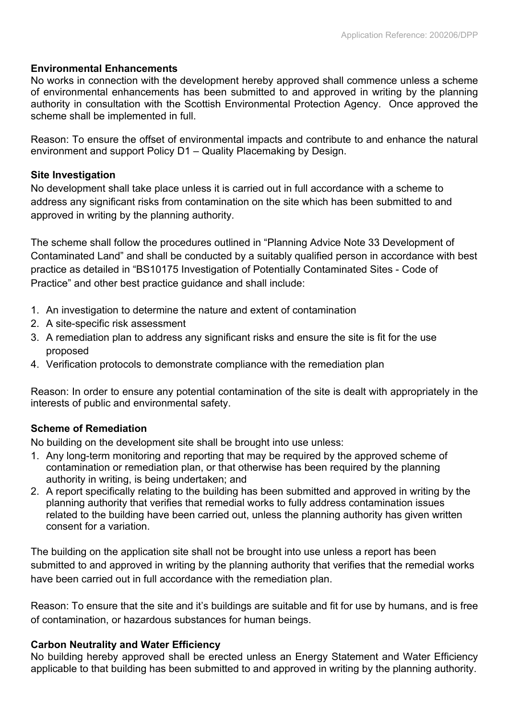# **Environmental Enhancements**

No works in connection with the development hereby approved shall commence unless a scheme of environmental enhancements has been submitted to and approved in writing by the planning authority in consultation with the Scottish Environmental Protection Agency. Once approved the scheme shall be implemented in full.

Reason: To ensure the offset of environmental impacts and contribute to and enhance the natural environment and support Policy D1 – Quality Placemaking by Design.

# **Site Investigation**

No development shall take place unless it is carried out in full accordance with a scheme to address any significant risks from contamination on the site which has been submitted to and approved in writing by the planning authority.

The scheme shall follow the procedures outlined in "Planning Advice Note 33 Development of Contaminated Land" and shall be conducted by a suitably qualified person in accordance with best practice as detailed in "BS10175 Investigation of Potentially Contaminated Sites - Code of Practice" and other best practice guidance and shall include:

- 1. An investigation to determine the nature and extent of contamination
- 2. A site-specific risk assessment
- 3. A remediation plan to address any significant risks and ensure the site is fit for the use proposed
- 4. Verification protocols to demonstrate compliance with the remediation plan

Reason: In order to ensure any potential contamination of the site is dealt with appropriately in the interests of public and environmental safety.

# **Scheme of Remediation**

No building on the development site shall be brought into use unless:

- 1. Any long-term monitoring and reporting that may be required by the approved scheme of contamination or remediation plan, or that otherwise has been required by the planning authority in writing, is being undertaken; and
- 2. A report specifically relating to the building has been submitted and approved in writing by the planning authority that verifies that remedial works to fully address contamination issues related to the building have been carried out, unless the planning authority has given written consent for a variation.

The building on the application site shall not be brought into use unless a report has been submitted to and approved in writing by the planning authority that verifies that the remedial works have been carried out in full accordance with the remediation plan.

Reason: To ensure that the site and it's buildings are suitable and fit for use by humans, and is free of contamination, or hazardous substances for human beings.

# **Carbon Neutrality and Water Efficiency**

No building hereby approved shall be erected unless an Energy Statement and Water Efficiency applicable to that building has been submitted to and approved in writing by the planning authority.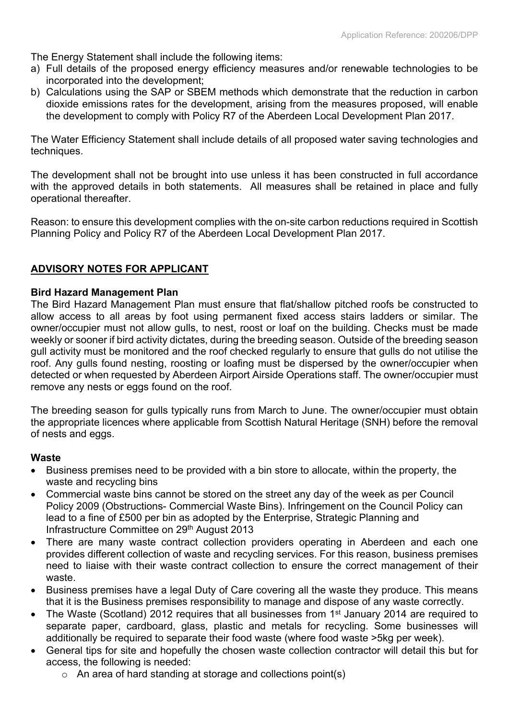The Energy Statement shall include the following items:

- a) Full details of the proposed energy efficiency measures and/or renewable technologies to be incorporated into the development;
- b) Calculations using the SAP or SBEM methods which demonstrate that the reduction in carbon dioxide emissions rates for the development, arising from the measures proposed, will enable the development to comply with Policy R7 of the Aberdeen Local Development Plan 2017.

The Water Efficiency Statement shall include details of all proposed water saving technologies and techniques.

The development shall not be brought into use unless it has been constructed in full accordance with the approved details in both statements. All measures shall be retained in place and fully operational thereafter.

Reason: to ensure this development complies with the on-site carbon reductions required in Scottish Planning Policy and Policy R7 of the Aberdeen Local Development Plan 2017.

# **ADVISORY NOTES FOR APPLICANT**

#### **Bird Hazard Management Plan**

The Bird Hazard Management Plan must ensure that flat/shallow pitched roofs be constructed to allow access to all areas by foot using permanent fixed access stairs ladders or similar. The owner/occupier must not allow gulls, to nest, roost or loaf on the building. Checks must be made weekly or sooner if bird activity dictates, during the breeding season. Outside of the breeding season gull activity must be monitored and the roof checked regularly to ensure that gulls do not utilise the roof. Any gulls found nesting, roosting or loafing must be dispersed by the owner/occupier when detected or when requested by Aberdeen Airport Airside Operations staff. The owner/occupier must remove any nests or eggs found on the roof.

The breeding season for gulls typically runs from March to June. The owner/occupier must obtain the appropriate licences where applicable from Scottish Natural Heritage (SNH) before the removal of nests and eggs.

# **Waste**

- Business premises need to be provided with a bin store to allocate, within the property, the waste and recycling bins
- Commercial waste bins cannot be stored on the street any day of the week as per Council Policy 2009 (Obstructions- Commercial Waste Bins). Infringement on the Council Policy can lead to a fine of £500 per bin as adopted by the Enterprise, Strategic Planning and Infrastructure Committee on 29<sup>th</sup> August 2013
- There are many waste contract collection providers operating in Aberdeen and each one provides different collection of waste and recycling services. For this reason, business premises need to liaise with their waste contract collection to ensure the correct management of their waste.
- Business premises have a legal Duty of Care covering all the waste they produce. This means that it is the Business premises responsibility to manage and dispose of any waste correctly.
- The Waste (Scotland) 2012 requires that all businesses from 1<sup>st</sup> January 2014 are required to separate paper, cardboard, glass, plastic and metals for recycling. Some businesses will additionally be required to separate their food waste (where food waste >5kg per week).
- General tips for site and hopefully the chosen waste collection contractor will detail this but for access, the following is needed:
	- o An area of hard standing at storage and collections point(s)